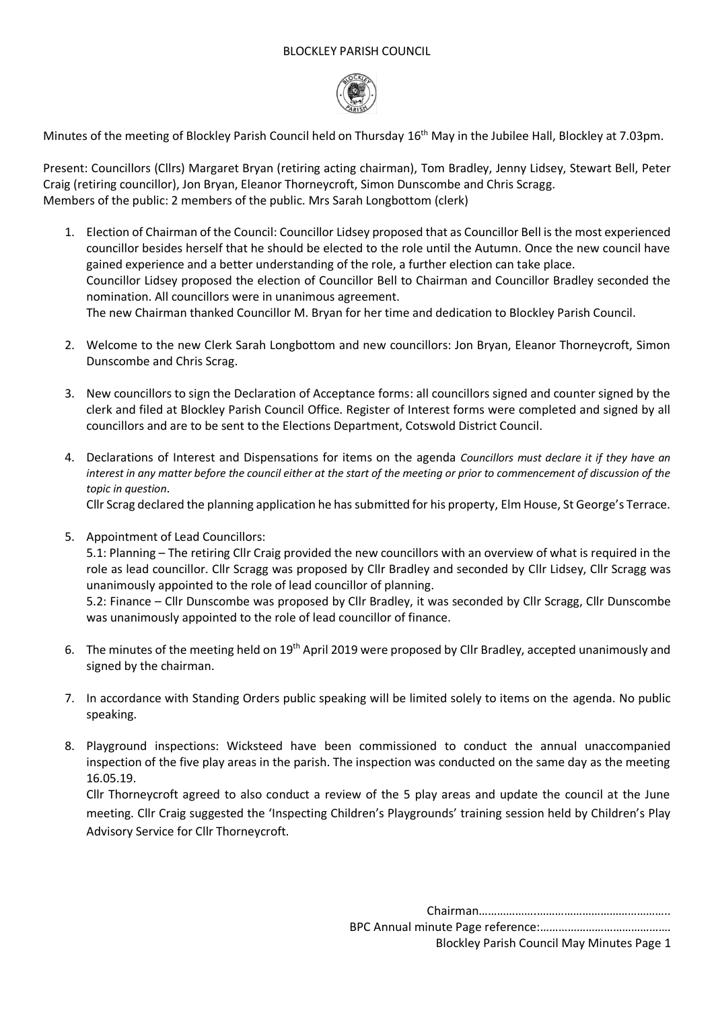#### BLOCKLEY PARISH COUNCIL



Minutes of the meeting of Blockley Parish Council held on Thursday 16<sup>th</sup> May in the Jubilee Hall, Blockley at 7.03pm.

Present: Councillors (Cllrs) Margaret Bryan (retiring acting chairman), Tom Bradley, Jenny Lidsey, Stewart Bell, Peter Craig (retiring councillor), Jon Bryan, Eleanor Thorneycroft, Simon Dunscombe and Chris Scragg. Members of the public: 2 members of the public. Mrs Sarah Longbottom (clerk)

- 1. Election of Chairman of the Council: Councillor Lidsey proposed that as Councillor Bell is the most experienced councillor besides herself that he should be elected to the role until the Autumn. Once the new council have gained experience and a better understanding of the role, a further election can take place. Councillor Lidsey proposed the election of Councillor Bell to Chairman and Councillor Bradley seconded the nomination. All councillors were in unanimous agreement. The new Chairman thanked Councillor M. Bryan for her time and dedication to Blockley Parish Council.
- 2. Welcome to the new Clerk Sarah Longbottom and new councillors: Jon Bryan, Eleanor Thorneycroft, Simon Dunscombe and Chris Scrag.
- 3. New councillors to sign the Declaration of Acceptance forms: all councillors signed and counter signed by the clerk and filed at Blockley Parish Council Office. Register of Interest forms were completed and signed by all councillors and are to be sent to the Elections Department, Cotswold District Council.
- 4. Declarations of Interest and Dispensations for items on the agenda *Councillors must declare it if they have an interest in any matter before the council either at the start of the meeting or prior to commencement of discussion of the topic in question*.

Cllr Scrag declared the planning application he has submitted for his property, Elm House, St George's Terrace.

- 5. Appointment of Lead Councillors: 5.1: Planning – The retiring Cllr Craig provided the new councillors with an overview of what is required in the role as lead councillor. Cllr Scragg was proposed by Cllr Bradley and seconded by Cllr Lidsey, Cllr Scragg was unanimously appointed to the role of lead councillor of planning. 5.2: Finance – Cllr Dunscombe was proposed by Cllr Bradley, it was seconded by Cllr Scragg, Cllr Dunscombe was unanimously appointed to the role of lead councillor of finance.
- 6. The minutes of the meeting held on 19th April 2019 were proposed by Cllr Bradley, accepted unanimously and signed by the chairman.
- 7. In accordance with Standing Orders public speaking will be limited solely to items on the agenda. No public speaking.
- 8. Playground inspections: Wicksteed have been commissioned to conduct the annual unaccompanied inspection of the five play areas in the parish. The inspection was conducted on the same day as the meeting 16.05.19.

Cllr Thorneycroft agreed to also conduct a review of the 5 play areas and update the council at the June meeting. Cllr Craig suggested the 'Inspecting Children's Playgrounds' training session held by Children's Play Advisory Service for Cllr Thorneycroft.

> Chairman……………….…………………………………….. BPC Annual minute Page reference:……………………………………. Blockley Parish Council May Minutes Page 1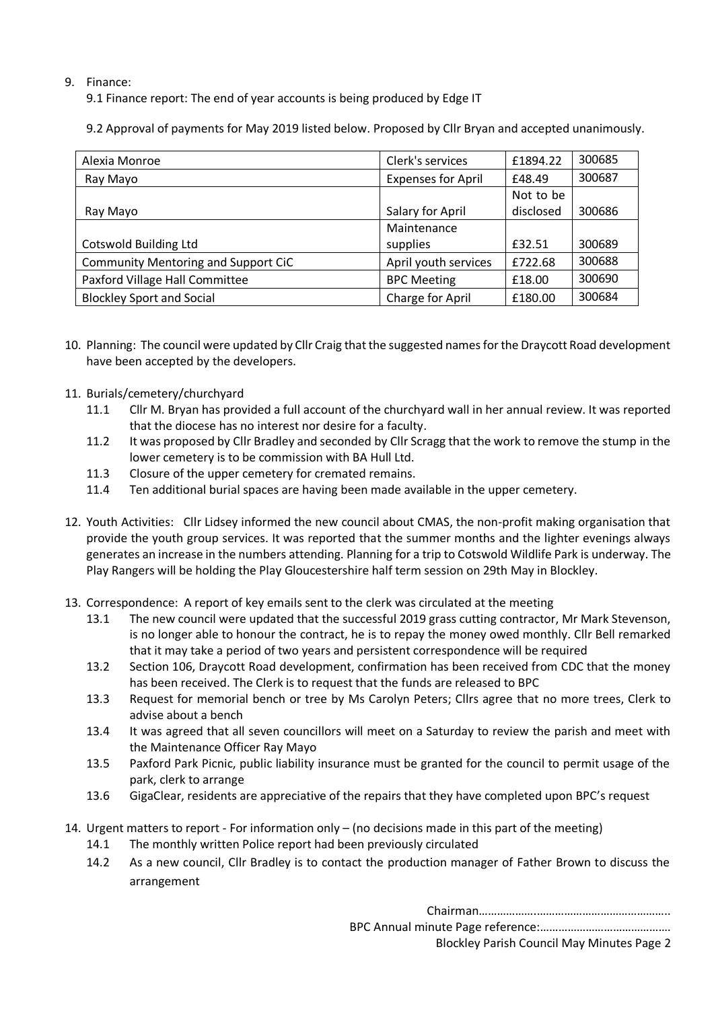# 9. Finance:

9.1 Finance report: The end of year accounts is being produced by Edge IT

9.2 Approval of payments for May 2019 listed below. Proposed by Cllr Bryan and accepted unanimously.

| Alexia Monroe                       | Clerk's services          | £1894.22  | 300685 |
|-------------------------------------|---------------------------|-----------|--------|
| Ray Mayo                            | <b>Expenses for April</b> | £48.49    | 300687 |
|                                     |                           | Not to be |        |
| Ray Mayo                            | Salary for April          | disclosed | 300686 |
|                                     | Maintenance               |           |        |
| <b>Cotswold Building Ltd</b>        | supplies                  | £32.51    | 300689 |
| Community Mentoring and Support CiC | April youth services      | £722.68   | 300688 |
| Paxford Village Hall Committee      | <b>BPC Meeting</b>        | £18.00    | 300690 |
| <b>Blockley Sport and Social</b>    | Charge for April          | £180.00   | 300684 |

- 10. Planning: The council were updated by Cllr Craig that the suggested names for the Draycott Road development have been accepted by the developers.
- 11. Burials/cemetery/churchyard
	- 11.1 Cllr M. Bryan has provided a full account of the churchyard wall in her annual review. It was reported that the diocese has no interest nor desire for a faculty.
	- 11.2 It was proposed by Cllr Bradley and seconded by Cllr Scragg that the work to remove the stump in the lower cemetery is to be commission with BA Hull Ltd.
	- 11.3 Closure of the upper cemetery for cremated remains.
	- 11.4 Ten additional burial spaces are having been made available in the upper cemetery.
- 12. Youth Activities: Cllr Lidsey informed the new council about CMAS, the non-profit making organisation that provide the youth group services. It was reported that the summer months and the lighter evenings always generates an increase in the numbers attending. Planning for a trip to Cotswold Wildlife Park is underway. The Play Rangers will be holding the Play Gloucestershire half term session on 29th May in Blockley.
- 13. Correspondence: A report of key emails sent to the clerk was circulated at the meeting
	- 13.1 The new council were updated that the successful 2019 grass cutting contractor, Mr Mark Stevenson, is no longer able to honour the contract, he is to repay the money owed monthly. Cllr Bell remarked that it may take a period of two years and persistent correspondence will be required
	- 13.2 Section 106, Draycott Road development, confirmation has been received from CDC that the money has been received. The Clerk is to request that the funds are released to BPC
	- 13.3 Request for memorial bench or tree by Ms Carolyn Peters; Cllrs agree that no more trees, Clerk to advise about a bench
	- 13.4 It was agreed that all seven councillors will meet on a Saturday to review the parish and meet with the Maintenance Officer Ray Mayo
	- 13.5 Paxford Park Picnic, public liability insurance must be granted for the council to permit usage of the park, clerk to arrange
	- 13.6 GigaClear, residents are appreciative of the repairs that they have completed upon BPC's request
- 14. Urgent matters to report For information only (no decisions made in this part of the meeting)
	- 14.1 The monthly written Police report had been previously circulated
	- 14.2 As a new council, Cllr Bradley is to contact the production manager of Father Brown to discuss the arrangement

Chairman……………….……………………………………..

BPC Annual minute Page reference:……………………………………. Blockley Parish Council May Minutes Page 2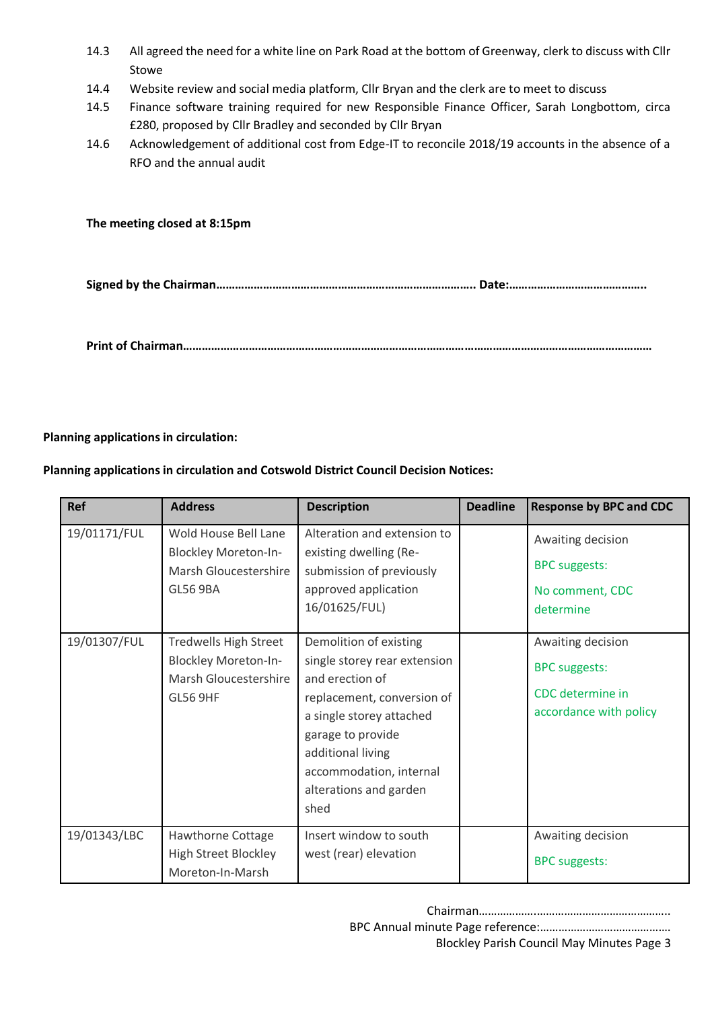- 14.3 All agreed the need for a white line on Park Road at the bottom of Greenway, clerk to discuss with Cllr Stowe
- 14.4 Website review and social media platform, Cllr Bryan and the clerk are to meet to discuss
- 14.5 Finance software training required for new Responsible Finance Officer, Sarah Longbottom, circa £280, proposed by Cllr Bradley and seconded by Cllr Bryan
- 14.6 Acknowledgement of additional cost from Edge-IT to reconcile 2018/19 accounts in the absence of a RFO and the annual audit

## **The meeting closed at 8:15pm**

**Signed by the Chairman……………………………………………………………………….. Date:……………………………………..**

**Print of Chairman……………………………………………………………………………………………………………………………………**

# **Planning applications in circulation:**

### **Planning applications in circulation and Cotswold District Council Decision Notices:**

| <b>Ref</b>   | <b>Address</b>                                                                                          | <b>Description</b>                                                                                                                                                                                                                         | <b>Deadline</b> | <b>Response by BPC and CDC</b>                                                          |
|--------------|---------------------------------------------------------------------------------------------------------|--------------------------------------------------------------------------------------------------------------------------------------------------------------------------------------------------------------------------------------------|-----------------|-----------------------------------------------------------------------------------------|
| 19/01171/FUL | Wold House Bell Lane<br><b>Blockley Moreton-In-</b><br>Marsh Gloucestershire<br><b>GL56 9BA</b>         | Alteration and extension to<br>existing dwelling (Re-<br>submission of previously<br>approved application<br>16/01625/FUL)                                                                                                                 |                 | Awaiting decision<br><b>BPC</b> suggests:<br>No comment, CDC<br>determine               |
| 19/01307/FUL | <b>Tredwells High Street</b><br><b>Blockley Moreton-In-</b><br>Marsh Gloucestershire<br><b>GL56 9HF</b> | Demolition of existing<br>single storey rear extension<br>and erection of<br>replacement, conversion of<br>a single storey attached<br>garage to provide<br>additional living<br>accommodation, internal<br>alterations and garden<br>shed |                 | Awaiting decision<br><b>BPC</b> suggests:<br>CDC determine in<br>accordance with policy |
| 19/01343/LBC | Hawthorne Cottage<br><b>High Street Blockley</b><br>Moreton-In-Marsh                                    | Insert window to south<br>west (rear) elevation                                                                                                                                                                                            |                 | Awaiting decision<br><b>BPC</b> suggests:                                               |

Blockley Parish Council May Minutes Page 3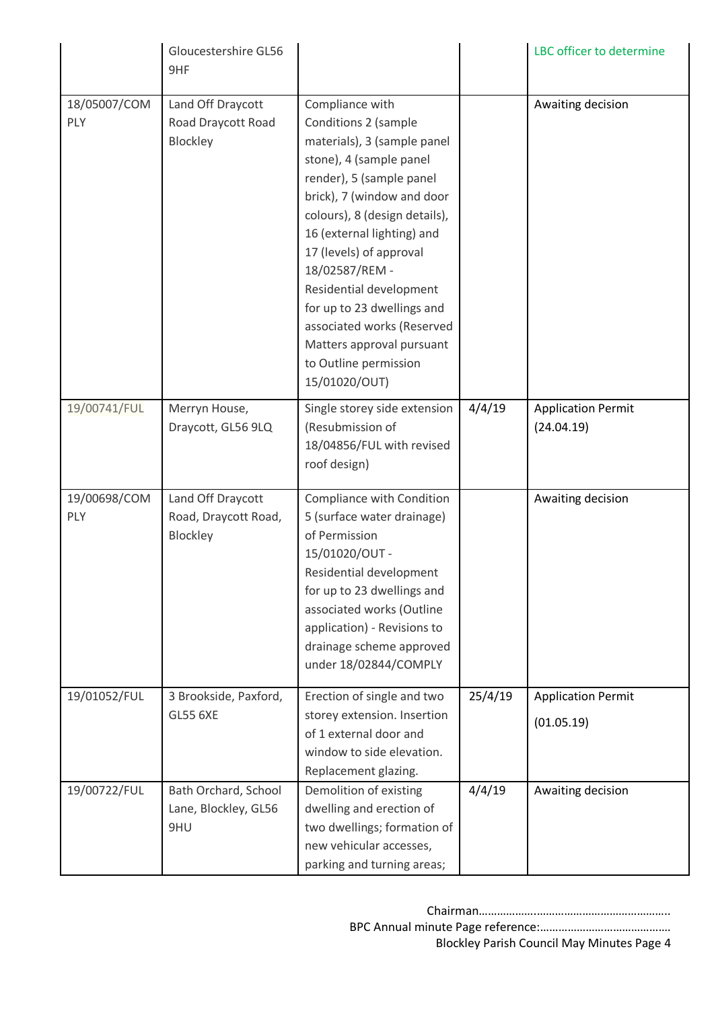|                     | Gloucestershire GL56<br>9HF                           |                                                                                                                                                                                                                                                                                                                                                                                                                                       |         | LBC officer to determine                |
|---------------------|-------------------------------------------------------|---------------------------------------------------------------------------------------------------------------------------------------------------------------------------------------------------------------------------------------------------------------------------------------------------------------------------------------------------------------------------------------------------------------------------------------|---------|-----------------------------------------|
| 18/05007/COM<br>PLY | Land Off Draycott<br>Road Draycott Road<br>Blockley   | Compliance with<br>Conditions 2 (sample<br>materials), 3 (sample panel<br>stone), 4 (sample panel<br>render), 5 (sample panel<br>brick), 7 (window and door<br>colours), 8 (design details),<br>16 (external lighting) and<br>17 (levels) of approval<br>18/02587/REM -<br>Residential development<br>for up to 23 dwellings and<br>associated works (Reserved<br>Matters approval pursuant<br>to Outline permission<br>15/01020/OUT) |         | Awaiting decision                       |
| 19/00741/FUL        | Merryn House,<br>Draycott, GL56 9LQ                   | Single storey side extension<br>(Resubmission of<br>18/04856/FUL with revised<br>roof design)                                                                                                                                                                                                                                                                                                                                         | 4/4/19  | <b>Application Permit</b><br>(24.04.19) |
| 19/00698/COM<br>PLY | Land Off Draycott<br>Road, Draycott Road,<br>Blockley | Compliance with Condition<br>5 (surface water drainage)<br>of Permission<br>15/01020/OUT-<br>Residential development<br>for up to 23 dwellings and<br>associated works (Outline<br>application) - Revisions to<br>drainage scheme approved<br>under 18/02844/COMPLY                                                                                                                                                                   |         | Awaiting decision                       |
| 19/01052/FUL        | 3 Brookside, Paxford,<br><b>GL55 6XE</b>              | Erection of single and two<br>storey extension. Insertion<br>of 1 external door and<br>window to side elevation.<br>Replacement glazing.                                                                                                                                                                                                                                                                                              | 25/4/19 | <b>Application Permit</b><br>(01.05.19) |
| 19/00722/FUL        | Bath Orchard, School<br>Lane, Blockley, GL56<br>9HU   | Demolition of existing<br>dwelling and erection of<br>two dwellings; formation of<br>new vehicular accesses,<br>parking and turning areas;                                                                                                                                                                                                                                                                                            | 4/4/19  | Awaiting decision                       |

| Blockley Parish Council May Minutes Page 4 |  |
|--------------------------------------------|--|
|                                            |  |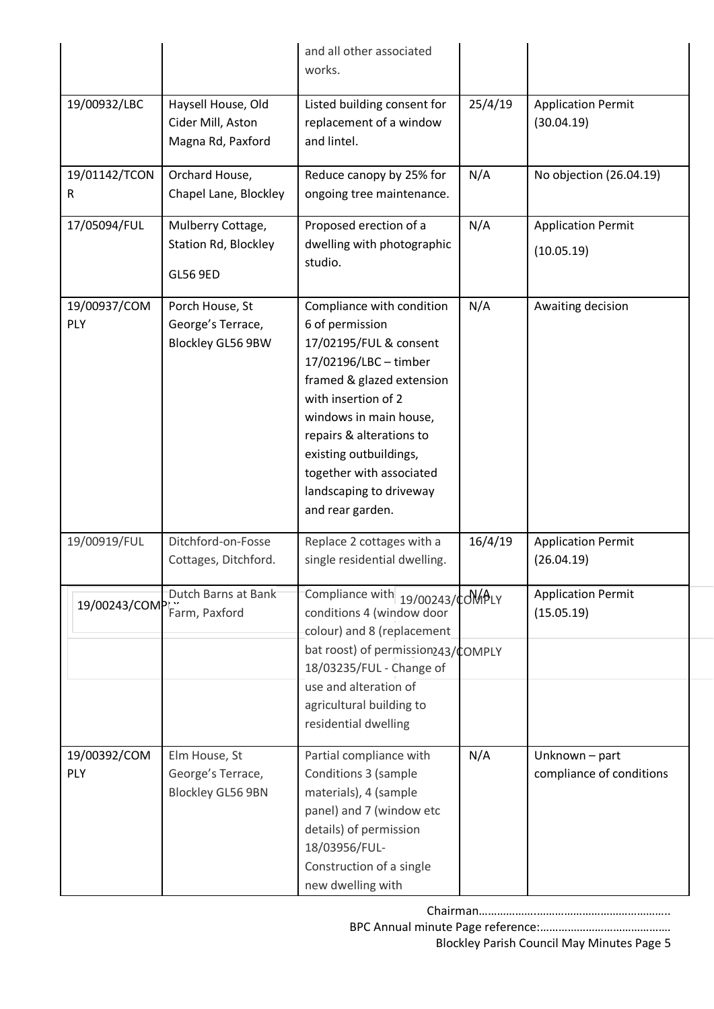|                            |                                                                     | and all other associated<br>works.                                                                                                                                                                                                                                                                             |         |                                            |
|----------------------------|---------------------------------------------------------------------|----------------------------------------------------------------------------------------------------------------------------------------------------------------------------------------------------------------------------------------------------------------------------------------------------------------|---------|--------------------------------------------|
| 19/00932/LBC               | Haysell House, Old<br>Cider Mill, Aston<br>Magna Rd, Paxford        | Listed building consent for<br>replacement of a window<br>and lintel.                                                                                                                                                                                                                                          | 25/4/19 | <b>Application Permit</b><br>(30.04.19)    |
| 19/01142/TCON<br>R         | Orchard House,<br>Chapel Lane, Blockley                             | Reduce canopy by 25% for<br>ongoing tree maintenance.                                                                                                                                                                                                                                                          | N/A     | No objection (26.04.19)                    |
| 17/05094/FUL               | Mulberry Cottage,<br><b>Station Rd, Blockley</b><br><b>GL56 9ED</b> | Proposed erection of a<br>dwelling with photographic<br>studio.                                                                                                                                                                                                                                                | N/A     | <b>Application Permit</b><br>(10.05.19)    |
| 19/00937/COM<br><b>PLY</b> | Porch House, St<br>George's Terrace,<br>Blockley GL56 9BW           | Compliance with condition<br>6 of permission<br>17/02195/FUL & consent<br>17/02196/LBC - timber<br>framed & glazed extension<br>with insertion of 2<br>windows in main house,<br>repairs & alterations to<br>existing outbuildings,<br>together with associated<br>landscaping to driveway<br>and rear garden. | N/A     | Awaiting decision                          |
| 19/00919/FUL               | Ditchford-on-Fosse<br>Cottages, Ditchford.                          | Replace 2 cottages with a<br>single residential dwelling.                                                                                                                                                                                                                                                      | 16/4/19 | <b>Application Permit</b><br>(26.04.19)    |
| 19/00243/COM               | Dutch Barns at Bank<br>Farm, Paxford                                | Compliance with 19/00243/¢OMPLY<br>conditions 4 (window door<br>colour) and 8 (replacement                                                                                                                                                                                                                     |         | <b>Application Permit</b><br>(15.05.19)    |
|                            |                                                                     | bat roost) of permission243/COMPLY<br>18/03235/FUL - Change of<br>use and alteration of<br>agricultural building to<br>residential dwelling                                                                                                                                                                    |         |                                            |
| 19/00392/COM<br>PLY        | Elm House, St<br>George's Terrace,<br><b>Blockley GL56 9BN</b>      | Partial compliance with<br>Conditions 3 (sample<br>materials), 4 (sample<br>panel) and 7 (window etc<br>details) of permission<br>18/03956/FUL-<br>Construction of a single<br>new dwelling with                                                                                                               | N/A     | Unknown - part<br>compliance of conditions |

Chairman……………….…………………………………….. BPC Annual minute Page reference:…………………………………….

Blockley Parish Council May Minutes Page 5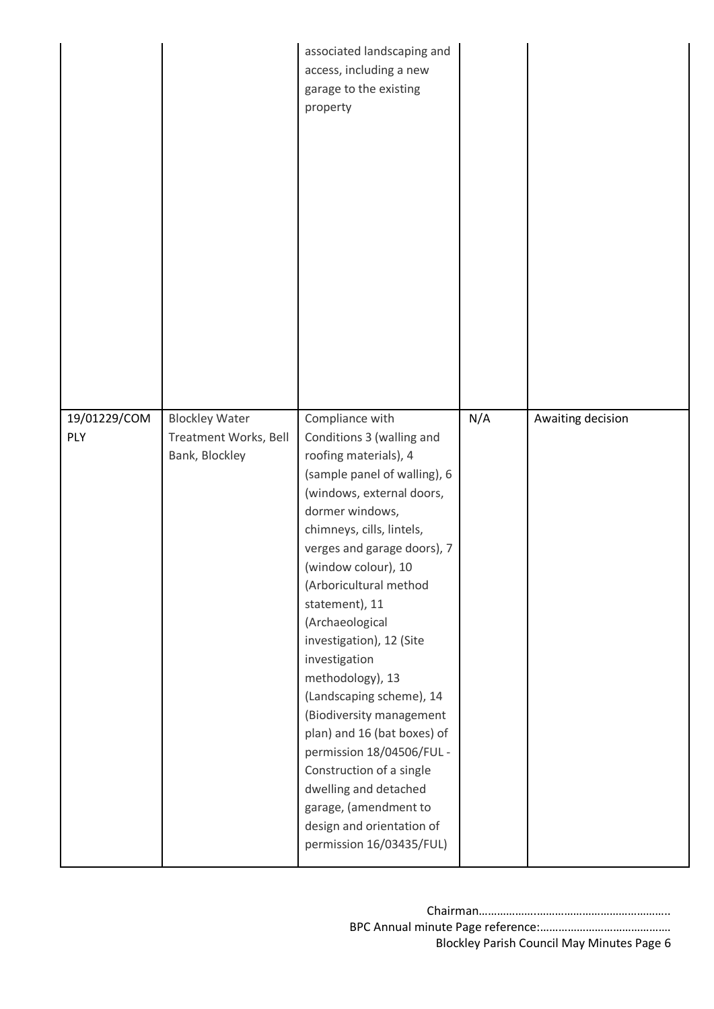|              |                                         | associated landscaping and<br>access, including a new<br>garage to the existing<br>property                                                                                                                                                                                                                                                                                                                                                                                                                                                                                                                      |     |                   |
|--------------|-----------------------------------------|------------------------------------------------------------------------------------------------------------------------------------------------------------------------------------------------------------------------------------------------------------------------------------------------------------------------------------------------------------------------------------------------------------------------------------------------------------------------------------------------------------------------------------------------------------------------------------------------------------------|-----|-------------------|
| 19/01229/COM | <b>Blockley Water</b>                   | Compliance with                                                                                                                                                                                                                                                                                                                                                                                                                                                                                                                                                                                                  | N/A | Awaiting decision |
| PLY          | Treatment Works, Bell<br>Bank, Blockley | Conditions 3 (walling and<br>roofing materials), 4<br>(sample panel of walling), 6<br>(windows, external doors,<br>dormer windows,<br>chimneys, cills, lintels,<br>verges and garage doors), 7<br>(window colour), 10<br>(Arboricultural method<br>statement), 11<br>(Archaeological<br>investigation), 12 (Site<br>investigation<br>methodology), 13<br>(Landscaping scheme), 14<br>(Biodiversity management<br>plan) and 16 (bat boxes) of<br>permission 18/04506/FUL -<br>Construction of a single<br>dwelling and detached<br>garage, (amendment to<br>design and orientation of<br>permission 16/03435/FUL) |     |                   |